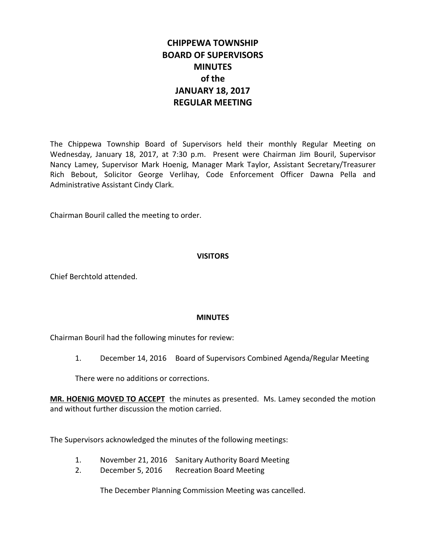# **CHIPPEWA TOWNSHIP BOARD OF SUPERVISORS MINUTES of the JANUARY 18, 2017 REGULAR MEETING**

The Chippewa Township Board of Supervisors held their monthly Regular Meeting on Wednesday, January 18, 2017, at 7:30 p.m. Present were Chairman Jim Bouril, Supervisor Nancy Lamey, Supervisor Mark Hoenig, Manager Mark Taylor, Assistant Secretary/Treasurer Rich Bebout, Solicitor George Verlihay, Code Enforcement Officer Dawna Pella and Administrative Assistant Cindy Clark.

Chairman Bouril called the meeting to order.

### **VISITORS**

Chief Berchtold attended.

### **MINUTES**

Chairman Bouril had the following minutes for review:

1. December 14, 2016 Board of Supervisors Combined Agenda/Regular Meeting

There were no additions or corrections.

**MR. HOENIG MOVED TO ACCEPT** the minutes as presented. Ms. Lamey seconded the motion and without further discussion the motion carried.

The Supervisors acknowledged the minutes of the following meetings:

- 1. November 21, 2016 Sanitary Authority Board Meeting
- 2. December 5, 2016 Recreation Board Meeting

The December Planning Commission Meeting was cancelled.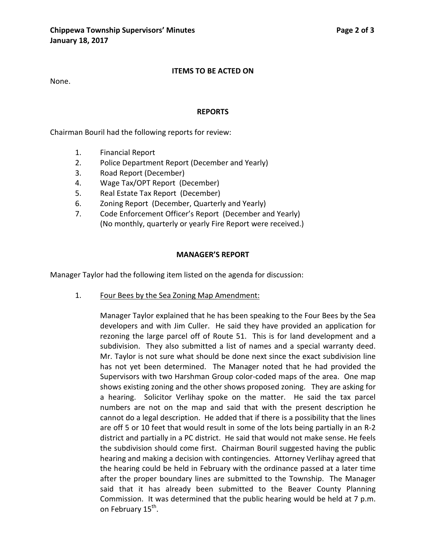### **ITEMS TO BE ACTED ON**

None.

### **REPORTS**

Chairman Bouril had the following reports for review:

- 1. Financial Report
- 2. Police Department Report (December and Yearly)
- 3. Road Report (December)
- 4. Wage Tax/OPT Report (December)
- 5. Real Estate Tax Report (December)
- 6. Zoning Report (December, Quarterly and Yearly)
- 7. Code Enforcement Officer's Report (December and Yearly) (No monthly, quarterly or yearly Fire Report were received.)

### **MANAGER'S REPORT**

Manager Taylor had the following item listed on the agenda for discussion:

1. Four Bees by the Sea Zoning Map Amendment:

Manager Taylor explained that he has been speaking to the Four Bees by the Sea developers and with Jim Culler. He said they have provided an application for rezoning the large parcel off of Route 51. This is for land development and a subdivision. They also submitted a list of names and a special warranty deed. Mr. Taylor is not sure what should be done next since the exact subdivision line has not yet been determined. The Manager noted that he had provided the Supervisors with two Harshman Group color-coded maps of the area. One map shows existing zoning and the other shows proposed zoning. They are asking for a hearing. Solicitor Verlihay spoke on the matter. He said the tax parcel numbers are not on the map and said that with the present description he cannot do a legal description. He added that if there is a possibility that the lines are off 5 or 10 feet that would result in some of the lots being partially in an R-2 district and partially in a PC district. He said that would not make sense. He feels the subdivision should come first. Chairman Bouril suggested having the public hearing and making a decision with contingencies. Attorney Verlihay agreed that the hearing could be held in February with the ordinance passed at a later time after the proper boundary lines are submitted to the Township. The Manager said that it has already been submitted to the Beaver County Planning Commission. It was determined that the public hearing would be held at 7 p.m. on February 15<sup>th</sup>.